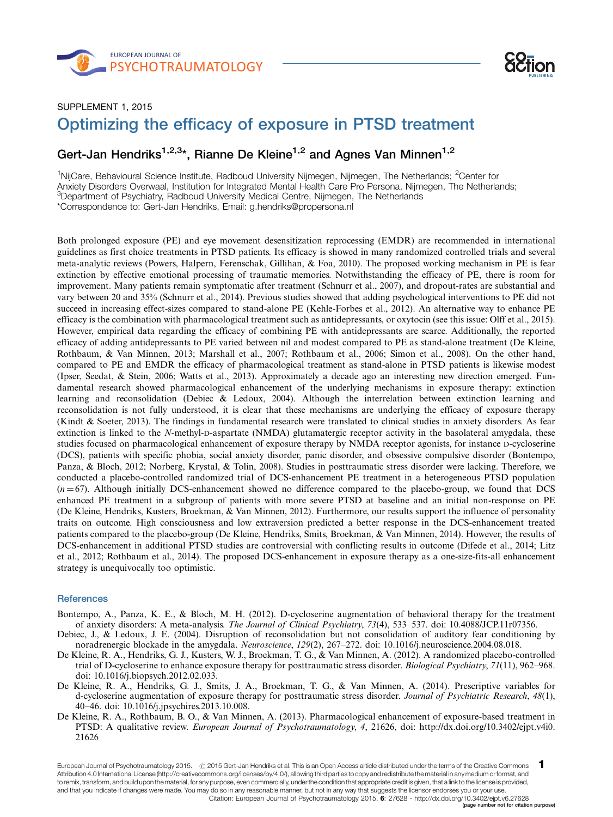



## SUPPLEMENT 1, 2015 Optimizing the efficacy of exposure in PTSD treatment -

## Gert-Jan Hendriks<sup>1,2,3\*</sup>, Rianne De Kleine<sup>1,2</sup> and Agnes Van Minnen<sup>1,2</sup>

<sup>1</sup>NijCare, Behavioural Science Institute, Radboud University Nijmegen, Nijmegen, The Netherlands; <sup>2</sup>Center for Anxiety Disorders Overwaal, Institution for Integrated Mental Health Care Pro Persona, Nijmegen, The Netherlands; <sup>3</sup>Department of Psychiatry, Radboud University Medical Centre, Nijmegen, The Netherlands \*Correspondence to: Gert-Jan Hendriks, Email: g.hendriks@propersona.nl

Both prolonged exposure (PE) and eye movement desensitization reprocessing (EMDR) are recommended in international guidelines as first choice treatments in PTSD patients. Its efficacy is showed in many randomized controlled trials and several meta-analytic reviews (Powers, Halpern, Ferenschak, Gillihan, & Foa, 2010). The proposed working mechanism in PE is fear extinction by effective emotional processing of traumatic memories. Notwithstanding the efficacy of PE, there is room for improvement. Many patients remain symptomatic after treatment (Schnurr et al., 2007), and dropout-rates are substantial and vary between 20 and 35% (Schnurr et al., 2014). Previous studies showed that adding psychological interventions to PE did not succeed in increasing effect-sizes compared to stand-alone PE (Kehle-Forbes et al., 2012). An alternative way to enhance PE efficacy is the combination with pharmacological treatment such as antidepressants, or oxytocin (see this issue: Olff et al., 2015). However, empirical data regarding the efficacy of combining PE with antidepressants are scarce. Additionally, the reported efficacy of adding antidepressants to PE varied between nil and modest compared to PE as stand-alone treatment (De Kleine, Rothbaum, & Van Minnen, 2013; Marshall et al., 2007; Rothbaum et al., 2006; Simon et al., 2008). On the other hand, compared to PE and EMDR the efficacy of pharmacological treatment as stand-alone in PTSD patients is likewise modest (Ipser, Seedat, & Stein, 2006; Watts et al., 2013). Approximately a decade ago an interesting new direction emerged. Fundamental research showed pharmacological enhancement of the underlying mechanisms in exposure therapy: extinction learning and reconsolidation (Debiec & Ledoux, 2004). Although the interrelation between extinction learning and reconsolidation is not fully understood, it is clear that these mechanisms are underlying the efficacy of exposure therapy (Kindt & Soeter, 2013). The findings in fundamental research were translated to clinical studies in anxiety disorders. As fear extinction is linked to the N-methyl-D-aspartate (NMDA) glutamatergic receptor activity in the basolateral amygdala, these studies focused on pharmacological enhancement of exposure therapy by NMDA receptor agonists, for instance D-cycloserine (DCS), patients with specific phobia, social anxiety disorder, panic disorder, and obsessive compulsive disorder (Bontempo, Panza, & Bloch, 2012; Norberg, Krystal, & Tolin, 2008). Studies in posttraumatic stress disorder were lacking. Therefore, we conducted a placebo-controlled randomized trial of DCS-enhancement PE treatment in a heterogeneous PTSD population  $(n=67)$ . Although initially DCS-enhancement showed no difference compared to the placebo-group, we found that DCS enhanced PE treatment in a subgroup of patients with more severe PTSD at baseline and an initial non-response on PE (De Kleine, Hendriks, Kusters, Broekman, & Van Minnen, 2012). Furthermore, our results support the influence of personality traits on outcome. High consciousness and low extraversion predicted a better response in the DCS-enhancement treated patients compared to the placebo-group (De Kleine, Hendriks, Smits, Broekman, & Van Minnen, 2014). However, the results of DCS-enhancement in additional PTSD studies are controversial with conflicting results in outcome (Difede et al., 2014; Litz et al., 2012; Rothbaum et al., 2014). The proposed DCS-enhancement in exposure therapy as a one-size-fits-all enhancement strategy is unequivocally too optimistic.

## **References**

- Bontempo, A., Panza, K. E., & Bloch, M. H. (2012). D-cycloserine augmentation of behavioral therapy for the treatment of anxiety disorders: A meta-analysis. The Journal of Clinical Psychiatry, 73(4), 533–537. doi: 10.4088/JCP.11r07356.
- Debiec, J., & Ledoux, J. E. (2004). Disruption of reconsolidation but not consolidation of auditory fear conditioning by noradrenergic blockade in the amygdala. Neuroscience, 129(2), 267–272. doi: 10.1016/j.neuroscience.2004.08.018.
- De Kleine, R. A., Hendriks, G. J., Kusters, W. J., Broekman, T. G., & Van Minnen, A. (2012). A randomized placebo-controlled trial of D-cycloserine to enhance exposure therapy for posttraumatic stress disorder. Biological Psychiatry, 71(11), 962–968. doi: 10.1016/j.biopsych.2012.02.033.
- De Kleine, R. A., Hendriks, G. J., Smits, J. A., Broekman, T. G., & Van Minnen, A. (2014). Prescriptive variables for d-cycloserine augmentation of exposure therapy for posttraumatic stress disorder. Journal of Psychiatric Research, 48(1), 40-46. doi: 10.1016/j.jpsychires.2013.10.008.
- De Kleine, R. A., Rothbaum, B. O., & Van Minnen, A. (2013). Pharmacological enhancement of exposure-based treatment in PTSD: A qualitative review. *European Journal of Psychotraumatology*, 4, 21626, doi: [http://dx.doi.org/10.3402/ejpt.v4i0.](http://dx.doi.org/10.3402/ejpt.v4i0.21626) [21626](http://dx.doi.org/10.3402/ejpt.v4i0.21626)

European Journal of Psychotraumatology 2015. @ 2015 Gert-Jan Hendriks et al. This is an Open Access article distributed under the terms of the Creative Commons Attribution 4.0 International License ([http://creativecommons.org/licenses/by/4.0/\)](http://creativecommons.org/licenses/by/4.0/), allowing third parties to copy and redistribute the material in any medium or format, and to remix, transform, and build upon the material, for any purpose, even commercially, under the condition that appropriate credit is given, that a link to the license is provided, and that you indicate if changes were made. You may do so in any reasonable manner, but not in any way that suggests the licensor endorses you or your use. 1 [Citation: European Journal of Psychotraumatology 2015,](http://eurojnlofpsychotraumatol.net/index.php/ejpt/article/view/27628) 6: 27628 - <http://dx.doi.org/10.3402/ejpt.v6.27628> (page number not for citation purpose)